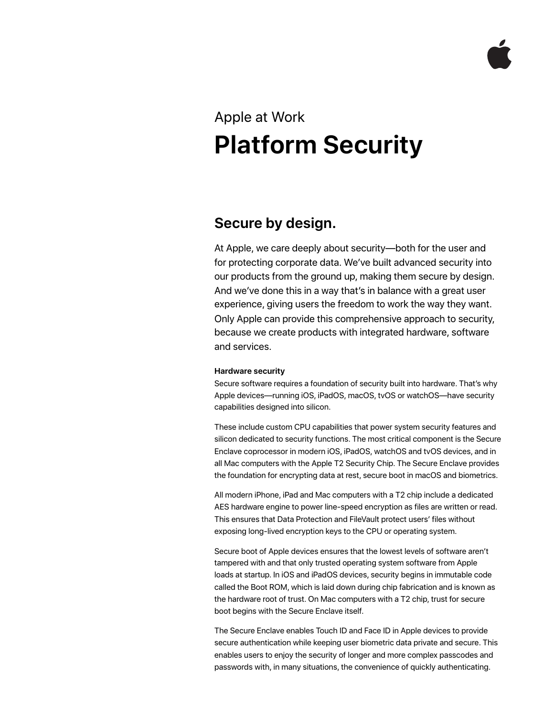# Apple at Work **Platform Security**

## **Secure by design.**

At Apple, we care deeply about security—both for the user and for protecting corporate data. We've built advanced security into our products from the ground up, making them secure by design. And we've done this in a way that's in balance with a great user experience, giving users the freedom to work the way they want. Only Apple can provide this comprehensive approach to security, because we create products with integrated hardware, software and services.

### **Hardware security**

Secure software requires a foundation of security built into hardware. That's why Apple devices—running iOS, iPadOS, macOS, tvOS or watchOS—have security capabilities designed into silicon.

These include custom CPU capabilities that power system security features and silicon dedicated to security functions. The most critical component is the Secure Enclave coprocessor in modern iOS, iPadOS, watchOS and tvOS devices, and in all Mac computers with the Apple T2 Security Chip. The Secure Enclave provides the foundation for encrypting data at rest, secure boot in macOS and biometrics.

All modern iPhone, iPad and Mac computers with a T2 chip include a dedicated AES hardware engine to power line-speed encryption as files are written or read. This ensures that Data Protection and FileVault protect users' files without exposing long-lived encryption keys to the CPU or operating system.

Secure boot of Apple devices ensures that the lowest levels of software aren't tampered with and that only trusted operating system software from Apple loads at startup. In iOS and iPadOS devices, security begins in immutable code called the Boot ROM, which is laid down during chip fabrication and is known as the hardware root of trust. On Mac computers with a T2 chip, trust for secure boot begins with the Secure Enclave itself.

The Secure Enclave enables Touch ID and Face ID in Apple devices to provide secure authentication while keeping user biometric data private and secure. This enables users to enjoy the security of longer and more complex passcodes and passwords with, in many situations, the convenience of quickly authenticating.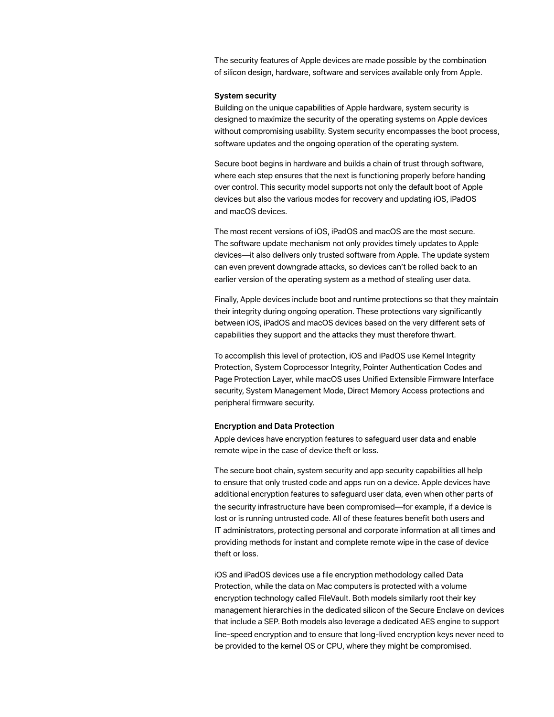The security features of Apple devices are made possible by the combination of silicon design, hardware, software and services available only from Apple.

#### **System security**

Building on the unique capabilities of Apple hardware, system security is designed to maximize the security of the operating systems on Apple devices without compromising usability. System security encompasses the boot process, software updates and the ongoing operation of the operating system.

Secure boot begins in hardware and builds a chain of trust through software, where each step ensures that the next is functioning properly before handing over control. This security model supports not only the default boot of Apple devices but also the various modes for recovery and updating iOS, iPadOS and macOS devices.

The most recent versions of iOS, iPadOS and macOS are the most secure. The software update mechanism not only provides timely updates to Apple devices—it also delivers only trusted software from Apple. The update system can even prevent downgrade attacks, so devices can't be rolled back to an earlier version of the operating system as a method of stealing user data.

Finally, Apple devices include boot and runtime protections so that they maintain their integrity during ongoing operation. These protections vary significantly between iOS, iPadOS and macOS devices based on the very different sets of capabilities they support and the attacks they must therefore thwart.

To accomplish this level of protection, iOS and iPadOS use Kernel Integrity Protection, System Coprocessor Integrity, Pointer Authentication Codes and Page Protection Layer, while macOS uses Unified Extensible Firmware Interface security, System Management Mode, Direct Memory Access protections and peripheral firmware security.

#### **Encryption and Data Protection**

Apple devices have encryption features to safeguard user data and enable remote wipe in the case of device theft or loss.

The secure boot chain, system security and app security capabilities all help to ensure that only trusted code and apps run on a device. Apple devices have additional encryption features to safeguard user data, even when other parts of the security infrastructure have been compromised—for example, if a device is lost or is running untrusted code. All of these features benefit both users and IT administrators, protecting personal and corporate information at all times and providing methods for instant and complete remote wipe in the case of device theft or loss.

iOS and iPadOS devices use a file encryption methodology called Data Protection, while the data on Mac computers is protected with a volume encryption technology called FileVault. Both models similarly root their key management hierarchies in the dedicated silicon of the Secure Enclave on devices that include a SEP. Both models also leverage a dedicated AES engine to support line-speed encryption and to ensure that long-lived encryption keys never need to be provided to the kernel OS or CPU, where they might be compromised.